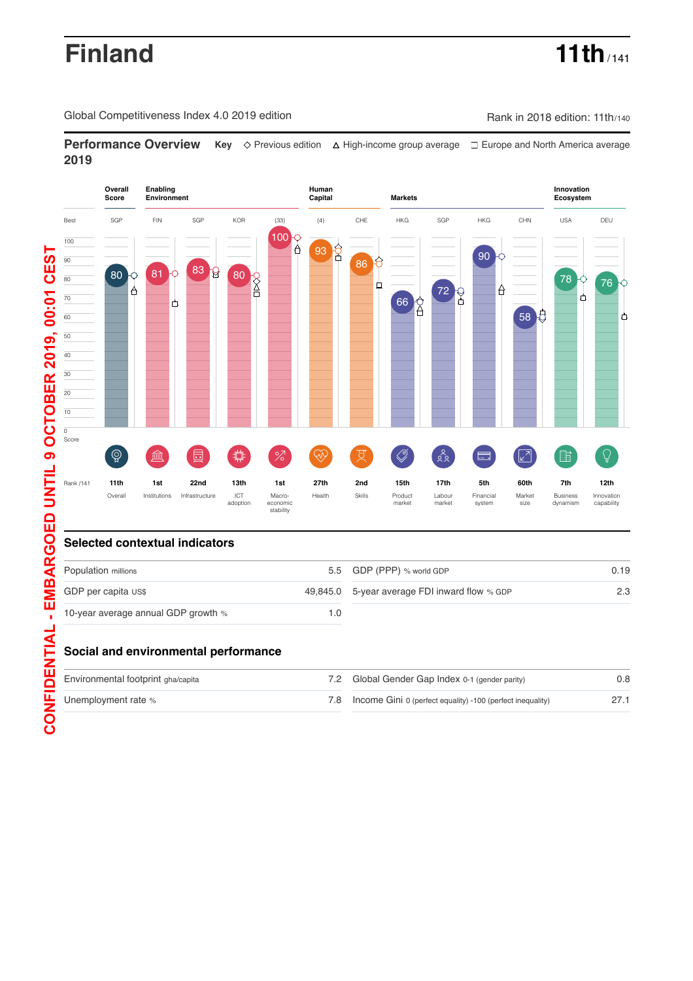# **Finland 11th** / 141

Global Competitiveness Index 4.0 2019 edition Company Company Rank in 2018 edition: 11th/140

**Performance Overview** Key  $\Diamond$  Previous edition △ High-income group average □ Europe and North America average **2019**



## **Selected contextual indicators**

| Population millions                 |     | 5.5 GDP (PPP) % world GDP                     | 0.19 |
|-------------------------------------|-----|-----------------------------------------------|------|
| GDP per capita US\$                 |     | 49,845.0 5-year average FDI inward flow % GDP | 2.3  |
| 10-year average annual GDP growth % | 1.0 |                                               |      |

## **Social and environmental performance**

| Environmental footprint gha/capita | 7.2 Global Gender Gap Index 0-1 (gender parity)                | 0.8 |
|------------------------------------|----------------------------------------------------------------|-----|
| Unemployment rate %                | 7.8 Income Gini 0 (perfect equality) -100 (perfect inequality) |     |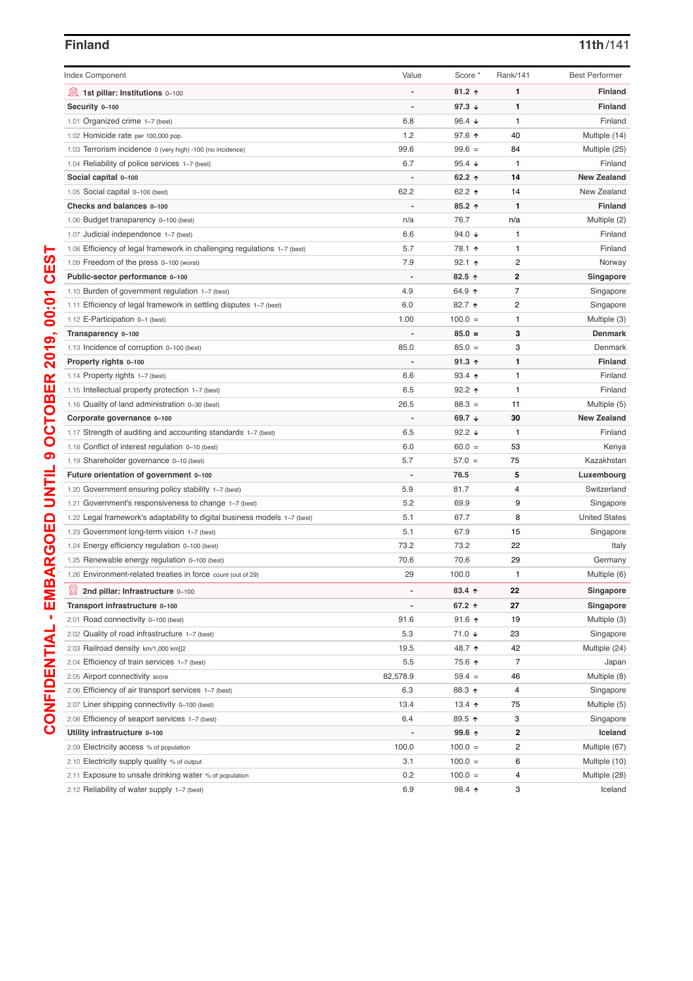| <b>Index Component</b>                                                                                                             | Value                    | Score *                  | Rank/141 | <b>Best Performer</b>             |
|------------------------------------------------------------------------------------------------------------------------------------|--------------------------|--------------------------|----------|-----------------------------------|
| 1st pillar: Institutions 0-100                                                                                                     |                          | $81.2$ ↑                 | 1        | <b>Finland</b>                    |
| Security 0-100                                                                                                                     | $\overline{\phantom{0}}$ | 97.3 $\downarrow$        | 1        | <b>Finland</b>                    |
| 1.01 Organized crime 1-7 (best)                                                                                                    | 6.8                      | 96.4 $\sqrt{ }$          | 1        | Finland                           |
| 1.02 Homicide rate per 100,000 pop.                                                                                                | 1.2                      | 97.6 $\uparrow$          | 40       | Multiple (14)                     |
| 1.03 Terrorism incidence 0 (very high) -100 (no incidence)                                                                         | 99.6                     | $99.6 =$                 | 84       | Multiple (25)                     |
| 1.04 Reliability of police services 1–7 (best)                                                                                     | 6.7                      | 95.4 $\sqrt{ }$          | 1        | Finland                           |
| Social capital 0-100                                                                                                               |                          | 62.2 $\uparrow$          | 14       | <b>New Zealand</b>                |
| 1.05 Social capital 0-100 (best)                                                                                                   | 62.2                     | 62.2 ↑                   | 14       | New Zealand                       |
| Checks and balances 0-100                                                                                                          |                          | $85.2$ ↑                 | 1        | <b>Finland</b>                    |
| 1.06 Budget transparency 0-100 (best)                                                                                              | n/a                      | 76.7                     | n/a      | Multiple (2)                      |
| 1.07 Judicial independence 1-7 (best)                                                                                              | 6.6                      | 94.0 $\sqrt{ }$          | 1        | Finland                           |
| 1.08 Efficiency of legal framework in challenging regulations 1–7 (best)                                                           | 5.7                      | 78.1 ↑                   | 1        | Finland                           |
| 1.09 Freedom of the press 0-100 (worst)                                                                                            | 7.9                      | $92.1$ 1                 | 2        | Norway                            |
| Public-sector performance 0-100                                                                                                    |                          | 82.5 ↑                   | 2        | Singapore                         |
| 1.10 Burden of government regulation 1-7 (best)                                                                                    | 4.9                      | 64.9 ↑                   | 7        | Singapore                         |
| 1.11 Efficiency of legal framework in settling disputes 1-7 (best)                                                                 | 6.0                      | 82.7 1                   | 2        | Singapore                         |
| 1.12 E-Participation 0-1 (best)                                                                                                    | 1.00                     | $100.0 =$                | 1        | Multiple (3)                      |
| Transparency 0-100                                                                                                                 |                          | $85.0 =$                 | 3        | <b>Denmark</b>                    |
| 1.13 Incidence of corruption 0-100 (best)                                                                                          | 85.0                     | $85.0 =$                 | 3        | Denmark                           |
| Property rights 0-100                                                                                                              |                          | $91.3$ 1                 | 1        | <b>Finland</b>                    |
| 1.14 Property rights 1-7 (best)                                                                                                    | 6.6                      | $93.4$ 1                 | 1        | Finland                           |
| 1.15 Intellectual property protection 1-7 (best)                                                                                   | 6.5                      | $92.2$ 1                 | 1        | Finland                           |
| 1.16 Quality of land administration 0-30 (best)                                                                                    | 26.5                     | $88.3 =$                 | 11       | Multiple (5)                      |
| Corporate governance 0-100                                                                                                         |                          | 69.7 $\sqrt{ }$          | 30       | <b>New Zealand</b>                |
| 1.17 Strength of auditing and accounting standards 1–7 (best)                                                                      | 6.5                      | 92.2 $\sqrt{ }$          | 1        | Finland                           |
| 1.18 Conflict of interest regulation 0-10 (best)                                                                                   | 6.0                      | $60.0 =$                 | 53       | Kenya                             |
| 1.19 Shareholder governance 0-10 (best)                                                                                            | 5.7                      | $57.0 =$                 | 75       | Kazakhstan                        |
| Future orientation of government 0-100                                                                                             |                          | 76.5                     | 5        | Luxembourg                        |
|                                                                                                                                    | 5.9                      | 81.7                     | 4        | Switzerland                       |
| 1.20 Government ensuring policy stability 1–7 (best)                                                                               | 5.2                      | 69.9                     |          |                                   |
| 1.21 Government's responsiveness to change 1–7 (best)<br>1.22 Legal framework's adaptability to digital business models 1-7 (best) | 5.1                      | 67.7                     | 9<br>8   | Singapore<br><b>United States</b> |
|                                                                                                                                    | 5.1                      | 67.9                     | 15       |                                   |
| 1.23 Government long-term vision 1-7 (best)                                                                                        | 73.2                     | 73.2                     | 22       | Singapore                         |
| 1.24 Energy efficiency regulation 0-100 (best)                                                                                     | 70.6                     | 70.6                     | 29       | Italy                             |
| 1.25 Renewable energy regulation 0-100 (best)                                                                                      |                          |                          |          | Germany                           |
| 1.26 Environment-related treaties in force count (out of 29)                                                                       | 29                       | 100.0                    | 1        | Multiple (6)                      |
| 曼<br>2nd pillar: Infrastructure 0-100                                                                                              | $\overline{\phantom{a}}$ | $83.4 \text{ } \uparrow$ | 22       | Singapore                         |
| Transport infrastructure 0-100                                                                                                     |                          | 67.2 ↑                   | 27       | Singapore                         |
| 2.01 Road connectivity 0-100 (best)                                                                                                | 91.6                     | $91.6$ ↑                 | 19       | Multiple (3)                      |
| 2.02 Quality of road infrastructure 1-7 (best)                                                                                     | 5.3                      | $71.0 +$                 | 23       | Singapore                         |
| 2.03 Railroad density km/1,000 km[[2                                                                                               | 19.5                     | 48.7 ↑                   | 42       | Multiple (24)                     |
| 2.04 Efficiency of train services 1-7 (best)                                                                                       | 5.5                      | 75.6 个                   | 7        | Japan                             |
| 2.05 Airport connectivity score                                                                                                    | 82,578.9                 | $59.4 =$                 | 46       | Multiple (8)                      |
| 2.06 Efficiency of air transport services 1-7 (best)                                                                               | 6.3                      | 88.3 个                   | 4        | Singapore                         |
| 2.07 Liner shipping connectivity 0-100 (best)                                                                                      | 13.4                     | 13.4 $\uparrow$          | 75       | Multiple (5)                      |
| 2.08 Efficiency of seaport services 1–7 (best)                                                                                     | 6.4                      | 89.5 个                   | 3        | Singapore                         |
| Utility infrastructure 0-100                                                                                                       | $\overline{\phantom{a}}$ | 99.6 个                   | 2        | Iceland                           |
| 2.09 Electricity access % of population                                                                                            | 100.0                    | $100.0 =$                | 2        | Multiple (67)                     |
| 2.10 Electricity supply quality % of output                                                                                        | 3.1                      | $100.0 =$                | 6        | Multiple (10)                     |
| 2.11 Exposure to unsafe drinking water % of population                                                                             | 0.2                      | $100.0 =$                | 4        | Multiple (28)                     |
| 2.12 Reliability of water supply 1-7 (best)                                                                                        | 6.9                      | 98.4 ↑                   | 3        | Iceland                           |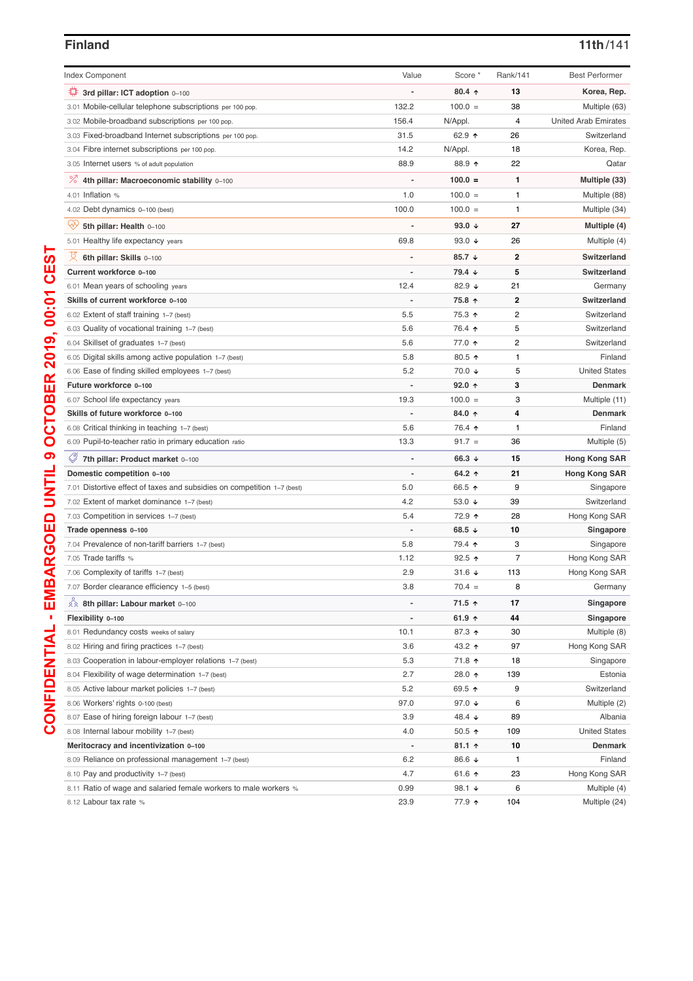| <b>Index Component</b>                                                  | Value        | Score *                  | Rank/141 | <b>Best Performer</b>       |
|-------------------------------------------------------------------------|--------------|--------------------------|----------|-----------------------------|
| ₩<br>3rd pillar: ICT adoption 0-100                                     |              | $80.4 \text{ } \uparrow$ | 13       | Korea, Rep.                 |
| 3.01 Mobile-cellular telephone subscriptions per 100 pop.               | 132.2        | $100.0 =$                | 38       | Multiple (63)               |
| 3.02 Mobile-broadband subscriptions per 100 pop.                        | 156.4        | N/Appl.                  | 4        | <b>United Arab Emirates</b> |
| 3.03 Fixed-broadband Internet subscriptions per 100 pop.                | 31.5         | 62.9 ↑                   | 26       | Switzerland                 |
| 3.04 Fibre internet subscriptions per 100 pop.                          | 14.2         | N/Appl.                  | 18       | Korea, Rep.                 |
| 3.05 Internet users % of adult population                               | 88.9         | 88.9 个                   | 22       | Qatar                       |
| % 4th pillar: Macroeconomic stability 0-100                             |              | $100.0 =$                | 1        | Multiple (33)               |
| 4.01 Inflation %                                                        | 1.0          | $100.0 =$                | 1        | Multiple (88)               |
| 4.02 Debt dynamics 0-100 (best)                                         | 100.0        | $100.0 =$                | 1        | Multiple (34)               |
| ŸY<br>5th pillar: Health 0-100                                          |              | 93.0 $\sqrt{ }$          | 27       | Multiple (4)                |
| 5.01 Healthy life expectancy years                                      | 69.8         | 93.0 $\sqrt{ }$          | 26       | Multiple (4)                |
| 6th pillar: Skills 0-100                                                |              | 85.7 $\sqrt{ }$          | 2        | Switzerland                 |
| Current workforce 0-100                                                 |              | 79.4 ↓                   | 5        | Switzerland                 |
| 6.01 Mean years of schooling years                                      | 12.4         | 82.9 $\sqrt{ }$          | 21       | Germany                     |
| Skills of current workforce 0-100                                       |              | 75.8 ↑                   | 2        | Switzerland                 |
| 6.02 Extent of staff training 1-7 (best)                                | 5.5          | 75.3 ↑                   | 2        | Switzerland                 |
| 6.03 Quality of vocational training 1-7 (best)                          | 5.6          | 76.4 ↑                   | 5        | Switzerland                 |
| 6.04 Skillset of graduates 1–7 (best)                                   | 5.6          | 77.0 ↑                   | 2        | Switzerland                 |
| 6.05 Digital skills among active population 1-7 (best)                  | 5.8          | 80.5 个                   | 1        | Finland                     |
| 6.06 Ease of finding skilled employees 1-7 (best)                       | 5.2          | 70.0 ↓                   | 5        | <b>United States</b>        |
| Future workforce 0-100                                                  |              | $92.0$ 1                 | 3        | <b>Denmark</b>              |
| 6.07 School life expectancy years                                       | 19.3         | $100.0 =$                | 3        | Multiple (11)               |
| Skills of future workforce 0-100                                        |              | 84.0 个                   | 4        | <b>Denmark</b>              |
| 6.08 Critical thinking in teaching 1-7 (best)                           | 5.6          | 76.4 ↑                   | 1        | Finland                     |
| 6.09 Pupil-to-teacher ratio in primary education ratio                  | 13.3         | $91.7 =$                 | 36       | Multiple (5)                |
| 7th pillar: Product market 0-100                                        |              | 66.3 $\sqrt{ }$          | 15       | <b>Hong Kong SAR</b>        |
| Domestic competition 0-100                                              |              | 64.2 ↑                   | 21       | <b>Hong Kong SAR</b>        |
| 7.01 Distortive effect of taxes and subsidies on competition 1-7 (best) | 5.0          | 66.5 ↑                   | 9        | Singapore                   |
| 7.02 Extent of market dominance 1–7 (best)                              | 4.2          | 53.0 $\sqrt{ }$          | 39       | Switzerland                 |
| 7.03 Competition in services 1-7 (best)                                 | 5.4          | 72.9 ↑                   | 28       | Hong Kong SAR               |
| Trade openness 0-100                                                    |              | 68.5 $\sqrt{ }$          | 10       | Singapore                   |
| 7.04 Prevalence of non-tariff barriers 1-7 (best)                       | 5.8          | 79.4 ↑                   | 3        | Singapore                   |
| 7.05 Trade tariffs %                                                    | 1.12         | $92.5$ 1                 | 7        | Hong Kong SAR               |
| 7.06 Complexity of tariffs 1–7 (best)                                   | 2.9          | 31.6 $\sqrt{ }$          | 113      | Hong Kong SAR               |
| 7.07 Border clearance efficiency 1-5 (best)                             | 3.8          | $70.4 =$                 | 8        | Germany                     |
| 28 8th pillar: Labour market 0-100                                      |              | 71.5 ↑                   | 17       | Singapore                   |
| Flexibility 0-100                                                       | $\centerdot$ | 61.9 $\uparrow$          | 44       | Singapore                   |
| 8.01 Redundancy costs weeks of salary                                   | 10.1         | 87.3 ↑                   | 30       | Multiple (8)                |
| 8.02 Hiring and firing practices 1-7 (best)                             | 3.6          | 43.2 ↑                   | 97       | Hong Kong SAR               |
| 8.03 Cooperation in labour-employer relations 1-7 (best)                | 5.3          | 71.8 ↑                   | 18       | Singapore                   |
| 8.04 Flexibility of wage determination 1-7 (best)                       | 2.7          | 28.0 ↑                   | 139      | Estonia                     |
| 8.05 Active labour market policies 1-7 (best)                           | 5.2          | 69.5 个                   | 9        | Switzerland                 |
| 8.06 Workers' rights 0-100 (best)                                       | 97.0         | 97.0 $\sqrt{ }$          | 6        | Multiple (2)                |
| 8.07 Ease of hiring foreign labour 1-7 (best)                           | 3.9          | 48.4 ↓                   | 89       | Albania                     |
| 8.08 Internal labour mobility 1-7 (best)                                | 4.0          | $50.5$ ↑                 | 109      | <b>United States</b>        |
| Meritocracy and incentivization 0-100                                   |              | $81.1$ ↑                 | 10       | <b>Denmark</b>              |
| 8.09 Reliance on professional management 1-7 (best)                     | 6.2          | 86.6 ↓                   | 1        | Finland                     |
| 8.10 Pay and productivity 1-7 (best)                                    | 4.7          | 61.6 $\uparrow$          | 23       | Hong Kong SAR               |
| 8.11 Ratio of wage and salaried female workers to male workers %        | 0.99         | 98.1 $\sqrt{ }$          | 6        | Multiple (4)                |
| 8.12 Labour tax rate %                                                  | 23.9         | 77.9 1                   | 104      | Multiple (24)               |